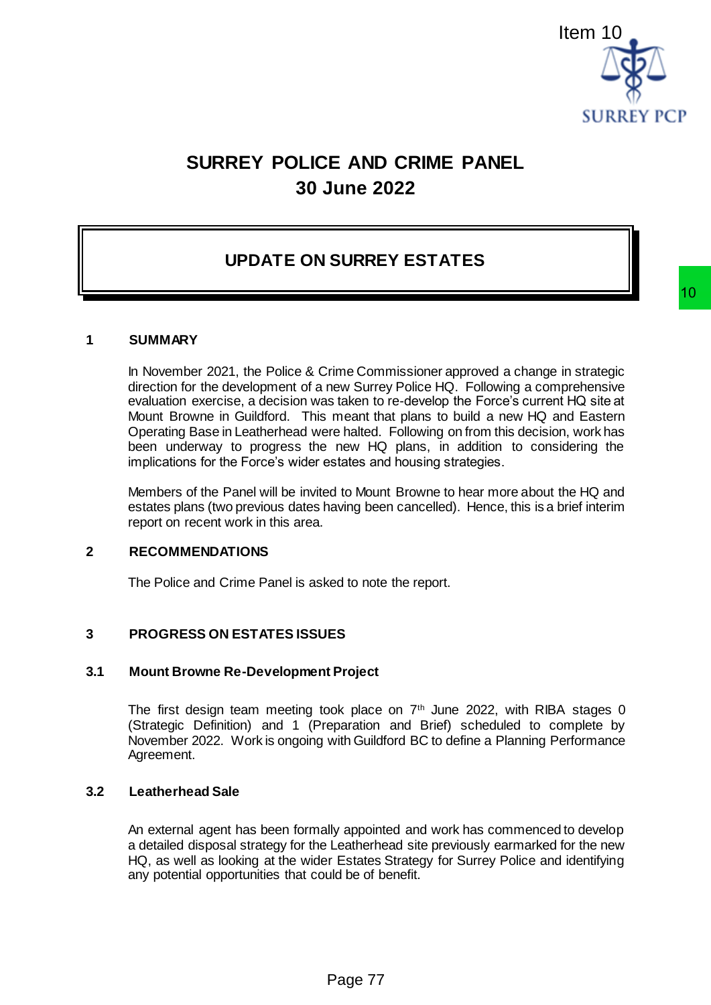

# **SURREY POLICE AND CRIME PANEL 30 June 2022**

# **UPDATE ON SURREY ESTATES**

#### **1 SUMMARY**

In November 2021, the Police & Crime Commissioner approved a change in strategic direction for the development of a new Surrey Police HQ. Following a comprehensive evaluation exercise, a decision was taken to re-develop the Force's current HQ site at Mount Browne in Guildford. This meant that plans to build a new HQ and Eastern Operating Base in Leatherhead were halted. Following on from this decision, work has been underway to progress the new HQ plans, in addition to considering the implications for the Force's wider estates and housing strategies. Item 10<br>
SURREY PCP<br>
E AND CRIME PANEL<br>
Unne 2022<br>
<br>
SURREY ESTATES<br>
The Commissioner approved a change in strategic<br>
staken to re-develop the Force's current HQ site at<br>
meant that place HQ. Following a competibility as

Members of the Panel will be invited to Mount Browne to hear more about the HQ and estates plans (two previous dates having been cancelled). Hence, this is a brief interim report on recent work in this area.

#### **2 RECOMMENDATIONS**

The Police and Crime Panel is asked to note the report.

#### **3 PROGRESS ON ESTATES ISSUES**

#### **3.1 Mount Browne Re-Development Project**

The first design team meeting took place on  $7<sup>th</sup>$  June 2022, with RIBA stages 0 (Strategic Definition) and 1 (Preparation and Brief) scheduled to complete by November 2022. Work is ongoing with Guildford BC to define a Planning Performance Agreement.

# **3.2 Leatherhead Sale**

An external agent has been formally appointed and work has commenced to develop a detailed disposal strategy for the Leatherhead site previously earmarked for the new HQ, as well as looking at the wider Estates Strategy for Surrey Police and identifying any potential opportunities that could be of benefit.